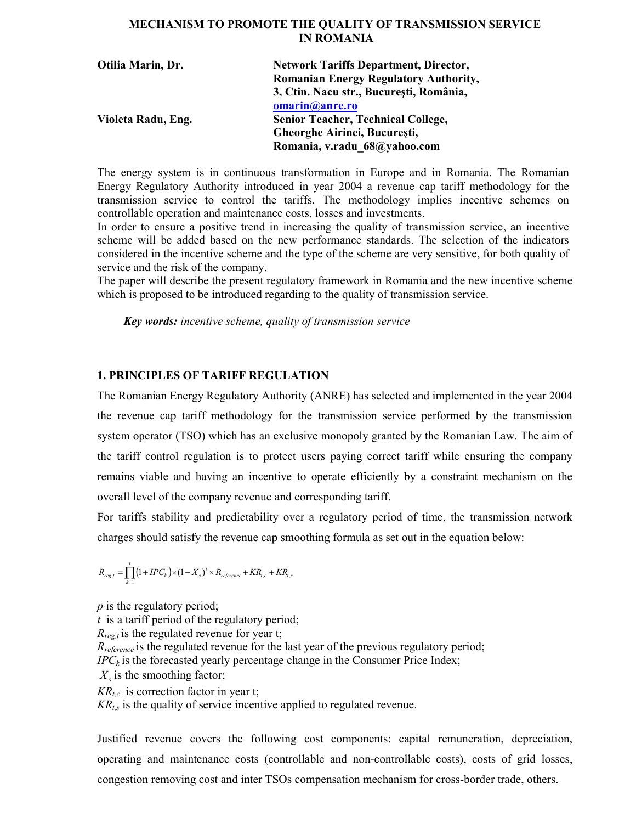# MECHANISM TO PROMOTE THE QUALITY OF TRANSMISSION SERVICE IN ROMANIA

| Otilia Marin, Dr.  | <b>Network Tariffs Department, Director,</b> |
|--------------------|----------------------------------------------|
|                    | <b>Romanian Energy Regulatory Authority,</b> |
|                    | 3, Ctin. Nacu str., București, România,      |
|                    | omarin@anre.ro                               |
| Violeta Radu, Eng. | <b>Senior Teacher, Technical College,</b>    |
|                    | Gheorghe Airinei, București,                 |
|                    | Romania, v.radu 68@yahoo.com                 |

The energy system is in continuous transformation in Europe and in Romania. The Romanian Energy Regulatory Authority introduced in year 2004 a revenue cap tariff methodology for the transmission service to control the tariffs. The methodology implies incentive schemes on controllable operation and maintenance costs, losses and investments.

In order to ensure a positive trend in increasing the quality of transmission service, an incentive scheme will be added based on the new performance standards. The selection of the indicators considered in the incentive scheme and the type of the scheme are very sensitive, for both quality of service and the risk of the company.

The paper will describe the present regulatory framework in Romania and the new incentive scheme which is proposed to be introduced regarding to the quality of transmission service.

Key words: incentive scheme, quality of transmission service

# 1. PRINCIPLES OF TARIFF REGULATION

The Romanian Energy Regulatory Authority (ANRE) has selected and implemented in the year 2004 the revenue cap tariff methodology for the transmission service performed by the transmission system operator (TSO) which has an exclusive monopoly granted by the Romanian Law. The aim of the tariff control regulation is to protect users paying correct tariff while ensuring the company remains viable and having an incentive to operate efficiently by a constraint mechanism on the overall level of the company revenue and corresponding tariff.

For tariffs stability and predictability over a regulatory period of time, the transmission network charges should satisfy the revenue cap smoothing formula as set out in the equation below:

$$
R_{reg,t}=\prod_{k=1}^{t}\bigl(1+IPC_k\,\bigr)\times(1-X_s\,)^t\times R_{reference}+KR_{t,c}+KR_{t,s}
$$

 $p$  is the regulatory period;  $t$  is a tariff period of the regulatory period;  $R_{reg,t}$  is the regulated revenue for year t;  $R_{reference}$  is the regulated revenue for the last year of the previous regulatory period;  $IPC_k$  is the forecasted yearly percentage change in the Consumer Price Index;  $X_s$  is the smoothing factor;  $KR_{tc}$  is correction factor in year t;  $KR<sub>t</sub>$  is the quality of service incentive applied to regulated revenue.

Justified revenue covers the following cost components: capital remuneration, depreciation, operating and maintenance costs (controllable and non-controllable costs), costs of grid losses, congestion removing cost and inter TSOs compensation mechanism for cross-border trade, others.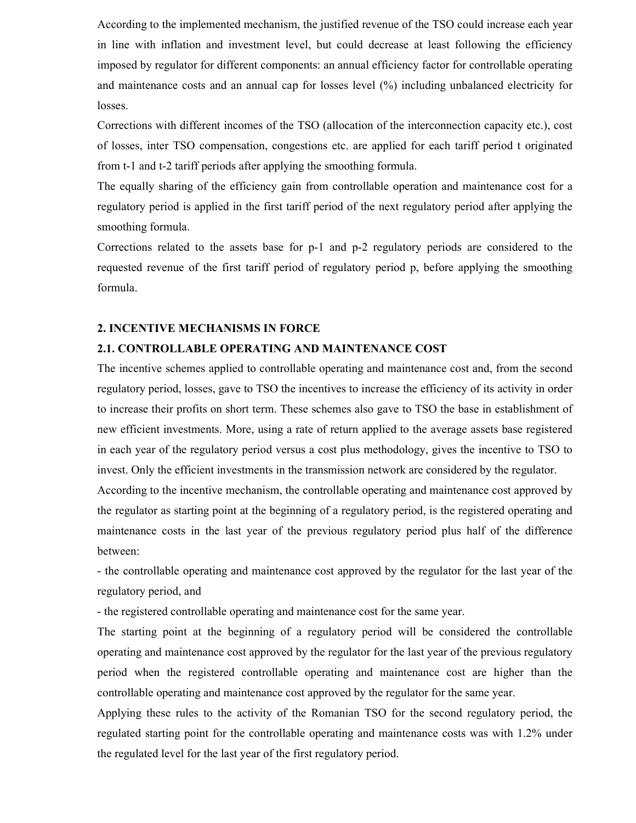According to the implemented mechanism, the justified revenue of the TSO could increase each year in line with inflation and investment level, but could decrease at least following the efficiency imposed by regulator for different components: an annual efficiency factor for controllable operating and maintenance costs and an annual cap for losses level (%) including unbalanced electricity for losses.

Corrections with different incomes of the TSO (allocation of the interconnection capacity etc.), cost of losses, inter TSO compensation, congestions etc. are applied for each tariff period t originated from t-1 and t-2 tariff periods after applying the smoothing formula.

The equally sharing of the efficiency gain from controllable operation and maintenance cost for a regulatory period is applied in the first tariff period of the next regulatory period after applying the smoothing formula.

Corrections related to the assets base for p-1 and p-2 regulatory periods are considered to the requested revenue of the first tariff period of regulatory period p, before applying the smoothing formula.

## 2. INCENTIVE MECHANISMS IN FORCE

#### 2.1. CONTROLLABLE OPERATING AND MAINTENANCE COST

The incentive schemes applied to controllable operating and maintenance cost and, from the second regulatory period, losses, gave to TSO the incentives to increase the efficiency of its activity in order to increase their profits on short term. These schemes also gave to TSO the base in establishment of new efficient investments. More, using a rate of return applied to the average assets base registered in each year of the regulatory period versus a cost plus methodology, gives the incentive to TSO to invest. Only the efficient investments in the transmission network are considered by the regulator.

According to the incentive mechanism, the controllable operating and maintenance cost approved by the regulator as starting point at the beginning of a regulatory period, is the registered operating and maintenance costs in the last year of the previous regulatory period plus half of the difference between:

- the controllable operating and maintenance cost approved by the regulator for the last year of the regulatory period, and

- the registered controllable operating and maintenance cost for the same year.

The starting point at the beginning of a regulatory period will be considered the controllable operating and maintenance cost approved by the regulator for the last year of the previous regulatory period when the registered controllable operating and maintenance cost are higher than the controllable operating and maintenance cost approved by the regulator for the same year.

Applying these rules to the activity of the Romanian TSO for the second regulatory period, the regulated starting point for the controllable operating and maintenance costs was with 1.2% under the regulated level for the last year of the first regulatory period.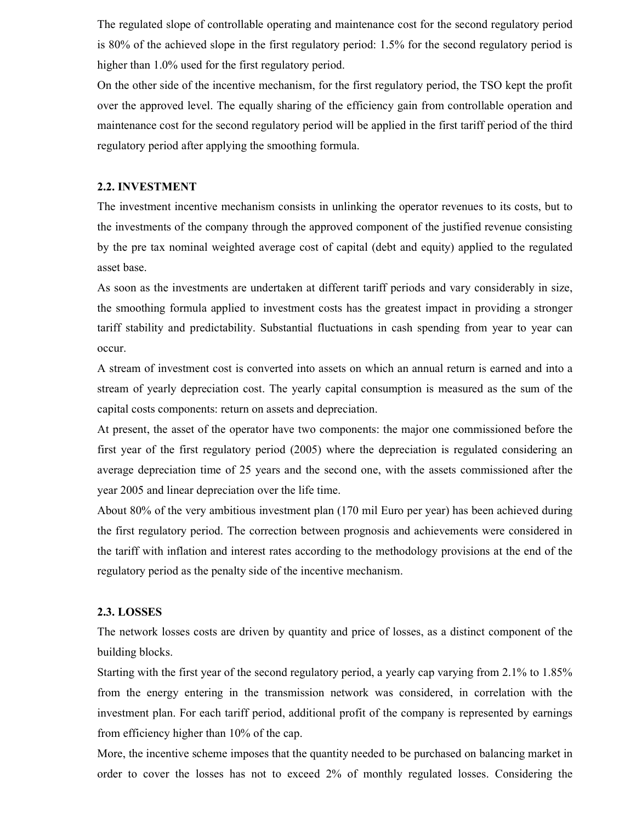The regulated slope of controllable operating and maintenance cost for the second regulatory period is 80% of the achieved slope in the first regulatory period: 1.5% for the second regulatory period is higher than 1.0% used for the first regulatory period.

On the other side of the incentive mechanism, for the first regulatory period, the TSO kept the profit over the approved level. The equally sharing of the efficiency gain from controllable operation and maintenance cost for the second regulatory period will be applied in the first tariff period of the third regulatory period after applying the smoothing formula.

# 2.2. INVESTMENT

The investment incentive mechanism consists in unlinking the operator revenues to its costs, but to the investments of the company through the approved component of the justified revenue consisting by the pre tax nominal weighted average cost of capital (debt and equity) applied to the regulated asset base.

As soon as the investments are undertaken at different tariff periods and vary considerably in size, the smoothing formula applied to investment costs has the greatest impact in providing a stronger tariff stability and predictability. Substantial fluctuations in cash spending from year to year can occur.

A stream of investment cost is converted into assets on which an annual return is earned and into a stream of yearly depreciation cost. The yearly capital consumption is measured as the sum of the capital costs components: return on assets and depreciation.

At present, the asset of the operator have two components: the major one commissioned before the first year of the first regulatory period (2005) where the depreciation is regulated considering an average depreciation time of 25 years and the second one, with the assets commissioned after the year 2005 and linear depreciation over the life time.

About 80% of the very ambitious investment plan (170 mil Euro per year) has been achieved during the first regulatory period. The correction between prognosis and achievements were considered in the tariff with inflation and interest rates according to the methodology provisions at the end of the regulatory period as the penalty side of the incentive mechanism.

## 2.3. LOSSES

The network losses costs are driven by quantity and price of losses, as a distinct component of the building blocks.

Starting with the first year of the second regulatory period, a yearly cap varying from 2.1% to 1.85% from the energy entering in the transmission network was considered, in correlation with the investment plan. For each tariff period, additional profit of the company is represented by earnings from efficiency higher than 10% of the cap.

More, the incentive scheme imposes that the quantity needed to be purchased on balancing market in order to cover the losses has not to exceed 2% of monthly regulated losses. Considering the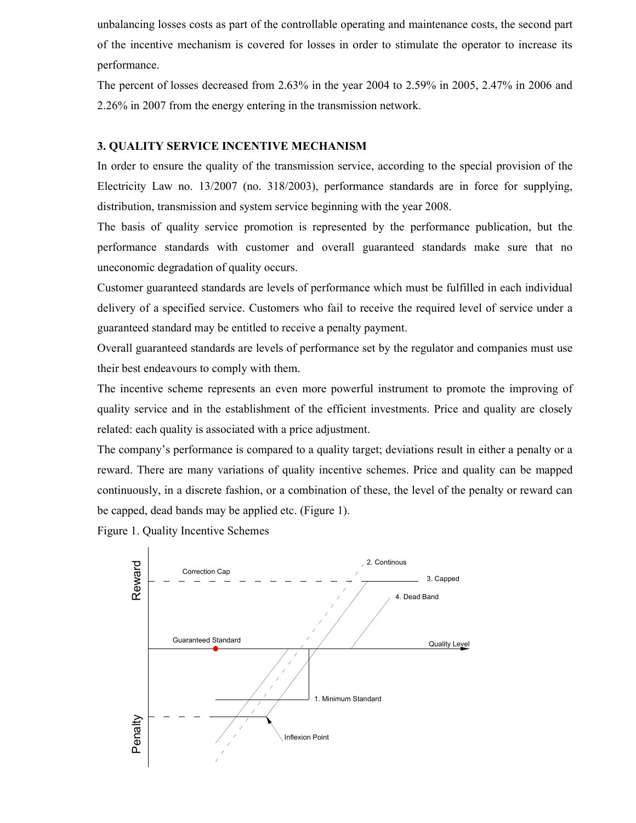unbalancing losses costs as part of the controllable operating and maintenance costs, the second part of the incentive mechanism is covered for losses in order to stimulate the operator to increase its performance.

The percent of losses decreased from 2.63% in the year 2004 to 2.59% in 2005, 2.47% in 2006 and 2.26% in 2007 from the energy entering in the transmission network.

# 3. QUALITY SERVICE INCENTIVE MECHANISM

In order to ensure the quality of the transmission service, according to the special provision of the Electricity Law no. 13/2007 (no. 318/2003), performance standards are in force for supplying, distribution, transmission and system service beginning with the year 2008.

The basis of quality service promotion is represented by the performance publication, but the performance standards with customer and overall guaranteed standards make sure that no uneconomic degradation of quality occurs.

Customer guaranteed standards are levels of performance which must be fulfilled in each individual delivery of a specified service. Customers who fail to receive the required level of service under a guaranteed standard may be entitled to receive a penalty payment.

Overall guaranteed standards are levels of performance set by the regulator and companies must use their best endeavours to comply with them.

The incentive scheme represents an even more powerful instrument to promote the improving of quality service and in the establishment of the efficient investments. Price and quality are closely related: each quality is associated with a price adjustment.

The company's performance is compared to a quality target; deviations result in either a penalty or a reward. There are many variations of quality incentive schemes. Price and quality can be mapped continuously, in a discrete fashion, or a combination of these, the level of the penalty or reward can be capped, dead bands may be applied etc. (Figure 1).

Figure 1. Quality Incentive Schemes

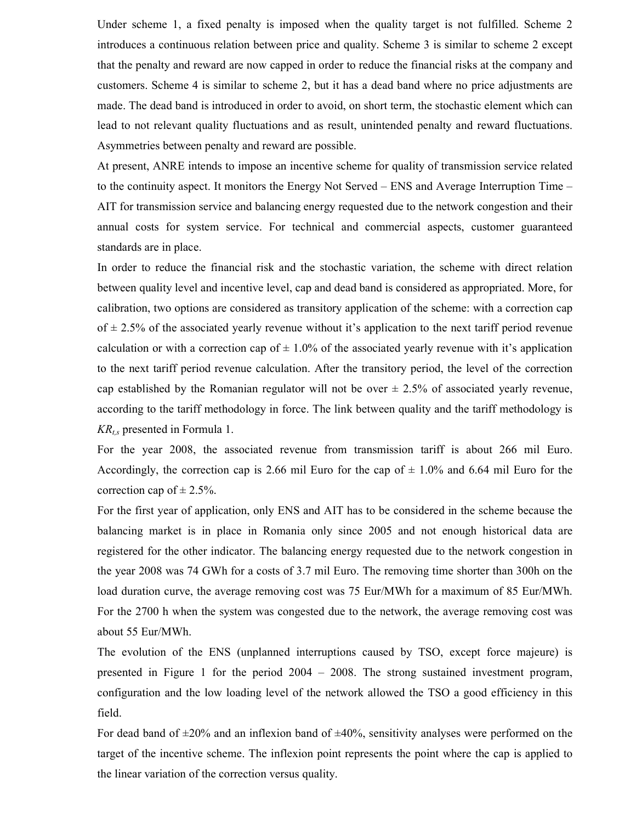Under scheme 1, a fixed penalty is imposed when the quality target is not fulfilled. Scheme 2 introduces a continuous relation between price and quality. Scheme 3 is similar to scheme 2 except that the penalty and reward are now capped in order to reduce the financial risks at the company and customers. Scheme 4 is similar to scheme 2, but it has a dead band where no price adjustments are made. The dead band is introduced in order to avoid, on short term, the stochastic element which can lead to not relevant quality fluctuations and as result, unintended penalty and reward fluctuations. Asymmetries between penalty and reward are possible.

At present, ANRE intends to impose an incentive scheme for quality of transmission service related to the continuity aspect. It monitors the Energy Not Served – ENS and Average Interruption Time – AIT for transmission service and balancing energy requested due to the network congestion and their annual costs for system service. For technical and commercial aspects, customer guaranteed standards are in place.

In order to reduce the financial risk and the stochastic variation, the scheme with direct relation between quality level and incentive level, cap and dead band is considered as appropriated. More, for calibration, two options are considered as transitory application of the scheme: with a correction cap of  $\pm$  2.5% of the associated yearly revenue without it's application to the next tariff period revenue calculation or with a correction cap of  $\pm$  1.0% of the associated yearly revenue with it's application to the next tariff period revenue calculation. After the transitory period, the level of the correction cap established by the Romanian regulator will not be over  $\pm$  2.5% of associated yearly revenue, according to the tariff methodology in force. The link between quality and the tariff methodology is  $KR_{t,s}$  presented in Formula 1.

For the year 2008, the associated revenue from transmission tariff is about 266 mil Euro. Accordingly, the correction cap is 2.66 mil Euro for the cap of  $\pm$  1.0% and 6.64 mil Euro for the correction cap of  $\pm$  2.5%.

For the first year of application, only ENS and AIT has to be considered in the scheme because the balancing market is in place in Romania only since 2005 and not enough historical data are registered for the other indicator. The balancing energy requested due to the network congestion in the year 2008 was 74 GWh for a costs of 3.7 mil Euro. The removing time shorter than 300h on the load duration curve, the average removing cost was 75 Eur/MWh for a maximum of 85 Eur/MWh. For the 2700 h when the system was congested due to the network, the average removing cost was about 55 Eur/MWh.

The evolution of the ENS (unplanned interruptions caused by TSO, except force majeure) is presented in Figure 1 for the period 2004 – 2008. The strong sustained investment program, configuration and the low loading level of the network allowed the TSO a good efficiency in this field.

For dead band of  $\pm 20\%$  and an inflexion band of  $\pm 40\%$ , sensitivity analyses were performed on the target of the incentive scheme. The inflexion point represents the point where the cap is applied to the linear variation of the correction versus quality.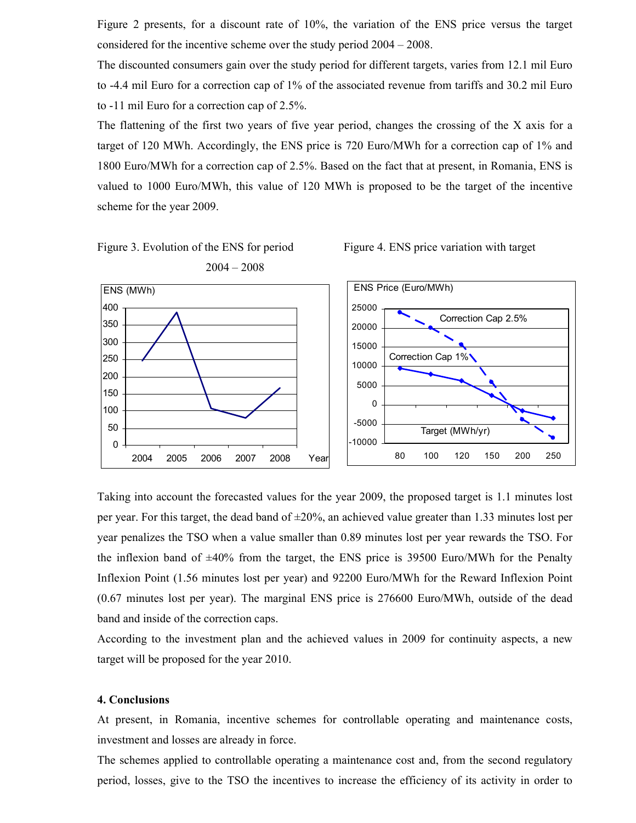Figure 2 presents, for a discount rate of 10%, the variation of the ENS price versus the target considered for the incentive scheme over the study period 2004 – 2008.

The discounted consumers gain over the study period for different targets, varies from 12.1 mil Euro to -4.4 mil Euro for a correction cap of 1% of the associated revenue from tariffs and 30.2 mil Euro to -11 mil Euro for a correction cap of 2.5%.

The flattening of the first two years of five year period, changes the crossing of the X axis for a target of 120 MWh. Accordingly, the ENS price is 720 Euro/MWh for a correction cap of 1% and 1800 Euro/MWh for a correction cap of 2.5%. Based on the fact that at present, in Romania, ENS is valued to 1000 Euro/MWh, this value of 120 MWh is proposed to be the target of the incentive scheme for the year 2009.







Taking into account the forecasted values for the year 2009, the proposed target is 1.1 minutes lost per year. For this target, the dead band of  $\pm 20\%$ , an achieved value greater than 1.33 minutes lost per year penalizes the TSO when a value smaller than 0.89 minutes lost per year rewards the TSO. For the inflexion band of  $\pm 40\%$  from the target, the ENS price is 39500 Euro/MWh for the Penalty Inflexion Point (1.56 minutes lost per year) and 92200 Euro/MWh for the Reward Inflexion Point (0.67 minutes lost per year). The marginal ENS price is 276600 Euro/MWh, outside of the dead band and inside of the correction caps.

According to the investment plan and the achieved values in 2009 for continuity aspects, a new target will be proposed for the year 2010.

## 4. Conclusions

At present, in Romania, incentive schemes for controllable operating and maintenance costs, investment and losses are already in force.

The schemes applied to controllable operating a maintenance cost and, from the second regulatory period, losses, give to the TSO the incentives to increase the efficiency of its activity in order to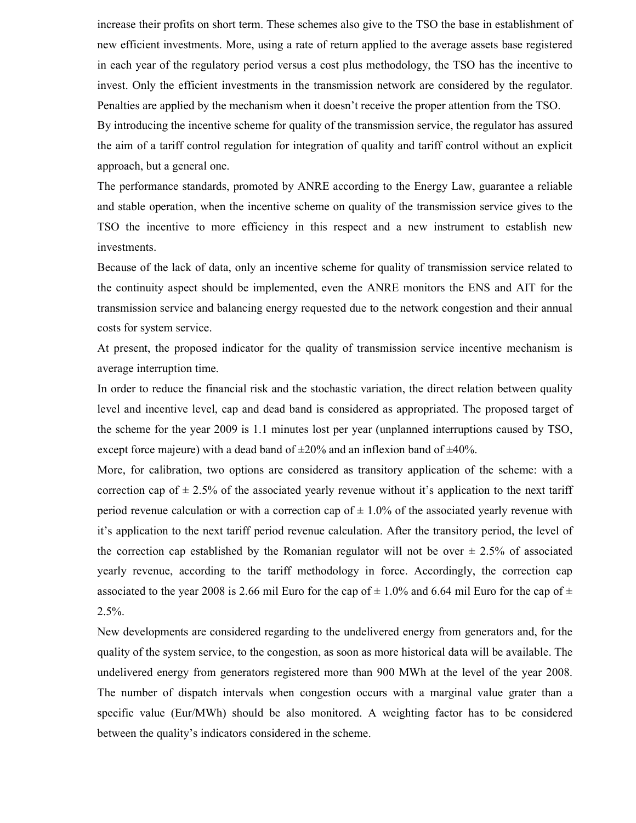increase their profits on short term. These schemes also give to the TSO the base in establishment of new efficient investments. More, using a rate of return applied to the average assets base registered in each year of the regulatory period versus a cost plus methodology, the TSO has the incentive to invest. Only the efficient investments in the transmission network are considered by the regulator. Penalties are applied by the mechanism when it doesn't receive the proper attention from the TSO. By introducing the incentive scheme for quality of the transmission service, the regulator has assured

the aim of a tariff control regulation for integration of quality and tariff control without an explicit approach, but a general one.

The performance standards, promoted by ANRE according to the Energy Law, guarantee a reliable and stable operation, when the incentive scheme on quality of the transmission service gives to the TSO the incentive to more efficiency in this respect and a new instrument to establish new investments.

Because of the lack of data, only an incentive scheme for quality of transmission service related to the continuity aspect should be implemented, even the ANRE monitors the ENS and AIT for the transmission service and balancing energy requested due to the network congestion and their annual costs for system service.

At present, the proposed indicator for the quality of transmission service incentive mechanism is average interruption time.

In order to reduce the financial risk and the stochastic variation, the direct relation between quality level and incentive level, cap and dead band is considered as appropriated. The proposed target of the scheme for the year 2009 is 1.1 minutes lost per year (unplanned interruptions caused by TSO, except force majeure) with a dead band of  $\pm 20\%$  and an inflexion band of  $\pm 40\%$ .

More, for calibration, two options are considered as transitory application of the scheme: with a correction cap of  $\pm$  2.5% of the associated yearly revenue without it's application to the next tariff period revenue calculation or with a correction cap of  $\pm$  1.0% of the associated yearly revenue with it's application to the next tariff period revenue calculation. After the transitory period, the level of the correction cap established by the Romanian regulator will not be over  $\pm$  2.5% of associated yearly revenue, according to the tariff methodology in force. Accordingly, the correction cap associated to the year 2008 is 2.66 mil Euro for the cap of  $\pm$  1.0% and 6.64 mil Euro for the cap of  $\pm$ 2.5%.

New developments are considered regarding to the undelivered energy from generators and, for the quality of the system service, to the congestion, as soon as more historical data will be available. The undelivered energy from generators registered more than 900 MWh at the level of the year 2008. The number of dispatch intervals when congestion occurs with a marginal value grater than a specific value (Eur/MWh) should be also monitored. A weighting factor has to be considered between the quality's indicators considered in the scheme.